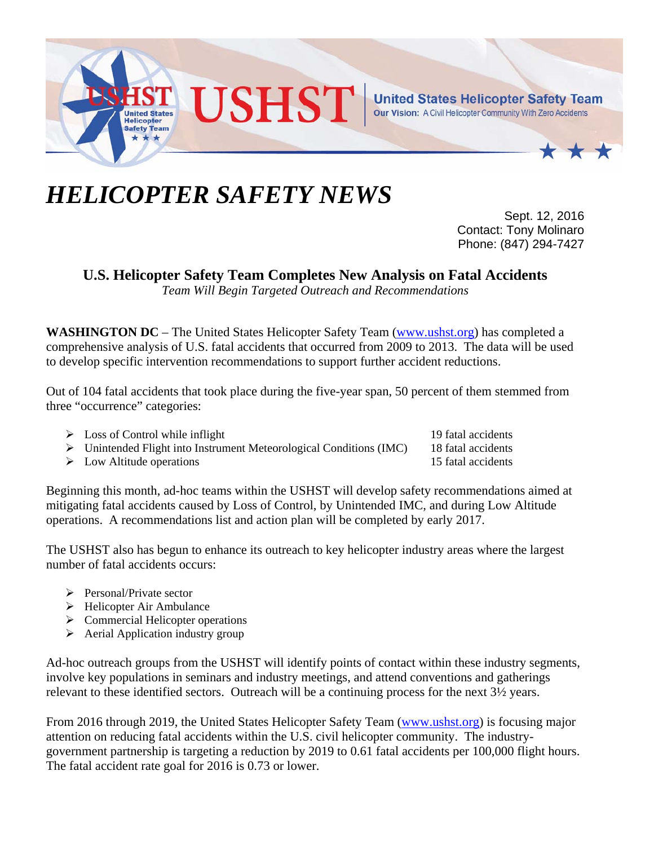

## *HELICOPTER SAFETY NEWS*

Sept. 12, 2016 Contact: Tony Molinaro Phone: (847) 294-7427

**U.S. Helicopter Safety Team Completes New Analysis on Fatal Accidents** 

*Team Will Begin Targeted Outreach and Recommendations* 

**WASHINGTON DC** – The United States Helicopter Safety Team (www.ushst.org) has completed a comprehensive analysis of U.S. fatal accidents that occurred from 2009 to 2013. The data will be used to develop specific intervention recommendations to support further accident reductions.

Out of 104 fatal accidents that took place during the five-year span, 50 percent of them stemmed from three "occurrence" categories:

- > Loss of Control while inflight 19 fatal accidents
- $\triangleright$  Unintended Flight into Instrument Meteorological Conditions (IMC) 18 fatal accidents
- $\triangleright$  Low Altitude operations 15 fatal accidents

Beginning this month, ad-hoc teams within the USHST will develop safety recommendations aimed at mitigating fatal accidents caused by Loss of Control, by Unintended IMC, and during Low Altitude operations. A recommendations list and action plan will be completed by early 2017.

The USHST also has begun to enhance its outreach to key helicopter industry areas where the largest number of fatal accidents occurs:

- $\triangleright$  Personal/Private sector
- $\triangleright$  Helicopter Air Ambulance
- $\triangleright$  Commercial Helicopter operations
- $\triangleright$  Aerial Application industry group

Ad-hoc outreach groups from the USHST will identify points of contact within these industry segments, involve key populations in seminars and industry meetings, and attend conventions and gatherings relevant to these identified sectors. Outreach will be a continuing process for the next 3½ years.

From 2016 through 2019, the United States Helicopter Safety Team (www.ushst.org) is focusing major attention on reducing fatal accidents within the U.S. civil helicopter community. The industrygovernment partnership is targeting a reduction by 2019 to 0.61 fatal accidents per 100,000 flight hours. The fatal accident rate goal for 2016 is 0.73 or lower.